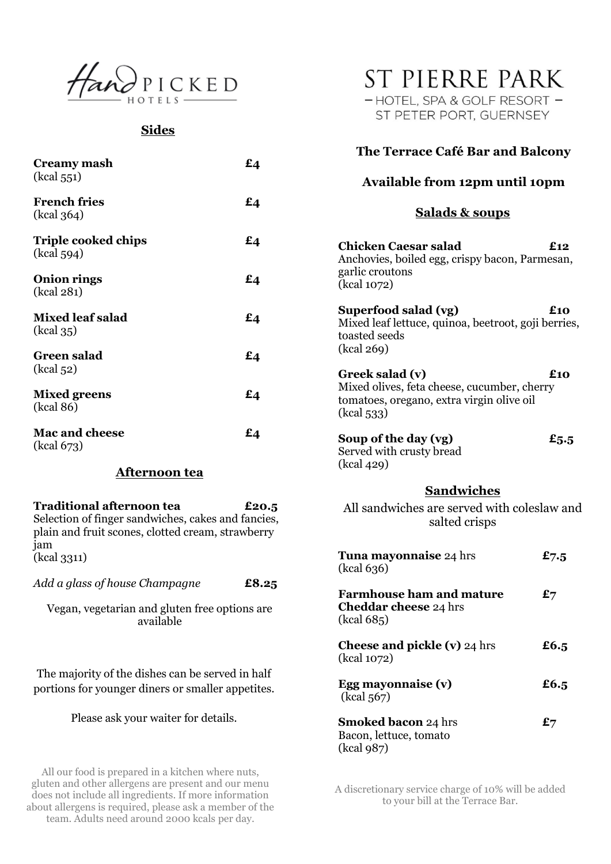

# **Sides**

| Creamy mash<br>(kcal 551)                | $E_4$ |
|------------------------------------------|-------|
| <b>French fries</b><br>(kcal 364)        | £4    |
| <b>Triple cooked chips</b><br>(kcal 594) | $E_4$ |
| <b>Onion rings</b><br>(kcal 281)         | £4    |
| <b>Mixed leaf salad</b><br>(kcal 35)     | £4    |
| Green salad<br>(kcal 52)                 | £4    |
| <b>Mixed greens</b><br>(kcal 86)         | £4    |
| <b>Mac and cheese</b><br>(kcal 673)      | £4    |

## **Afternoon tea**

**Traditional afternoon tea £20.5** Selection of finger sandwiches, cakes and fancies, plain and fruit scones, clotted cream, strawberry jam (kcal 3311)

*Add a glass of house Champagne* **£8.25**

Vegan, vegetarian and gluten free options are available

The majority of the dishes can be served in half portions for younger diners or smaller appetites.

# Please ask your waiter for details.

All our food is prepared in a kitchen where nuts, gluten and other allergens are present and our menu does not include all ingredients. If more information about allergens is required, please ask a member of the team. Adults need around 2000 kcals per day.

# **ST PIERRE PARK** -HOTEL, SPA & GOLF RESORT -ST PETER PORT, GUERNSEY

| The Terrace Café Bar and Balcony<br>Available from 12pm until 10pm<br><u>Salads &amp; soups</u>                           |             |                                                                                                                 |     |
|---------------------------------------------------------------------------------------------------------------------------|-------------|-----------------------------------------------------------------------------------------------------------------|-----|
|                                                                                                                           |             | <b>Chicken Caesar salad</b><br>Anchovies, boiled egg, crispy bacon, Parmesan,<br>garlic croutons<br>(kcal 1072) | £12 |
|                                                                                                                           |             | Superfood salad (vg)<br>Mixed leaf lettuce, quinoa, beetroot, goji berries,<br>toasted seeds<br>(kcal 269)      | £10 |
| Greek salad (v)<br>Mixed olives, feta cheese, cucumber, cherry<br>tomatoes, oregano, extra virgin olive oil<br>(kcal 533) | £10         |                                                                                                                 |     |
| Soup of the day (vg)<br>Served with crusty bread<br>(kcal 429)                                                            | £5.5        |                                                                                                                 |     |
| Sandwiches<br>All sandwiches are served with coleslaw and<br>salted crisps                                                |             |                                                                                                                 |     |
| <b>Tuna mayonnaise 24 hrs</b><br>(kcal 636)                                                                               | £7.5        |                                                                                                                 |     |
| <b>Farmhouse ham and mature</b><br><b>Cheddar cheese 24 hrs</b><br>(kcal 685)                                             | ${\bf f}$ 7 |                                                                                                                 |     |
| <b>Cheese and pickle (v)</b> 24 hrs<br>(kcal 1072)                                                                        | £6.5        |                                                                                                                 |     |
| Egg mayonnaise (v)<br>(kcal 567)                                                                                          | £6.5        |                                                                                                                 |     |
| <b>Smoked bacon 24 hrs</b><br>Bacon, lettuce, tomato<br>(kcal 987)                                                        | $E$ 7       |                                                                                                                 |     |

A discretionary service charge of 10% will be added to your bill at the Terrace Bar.